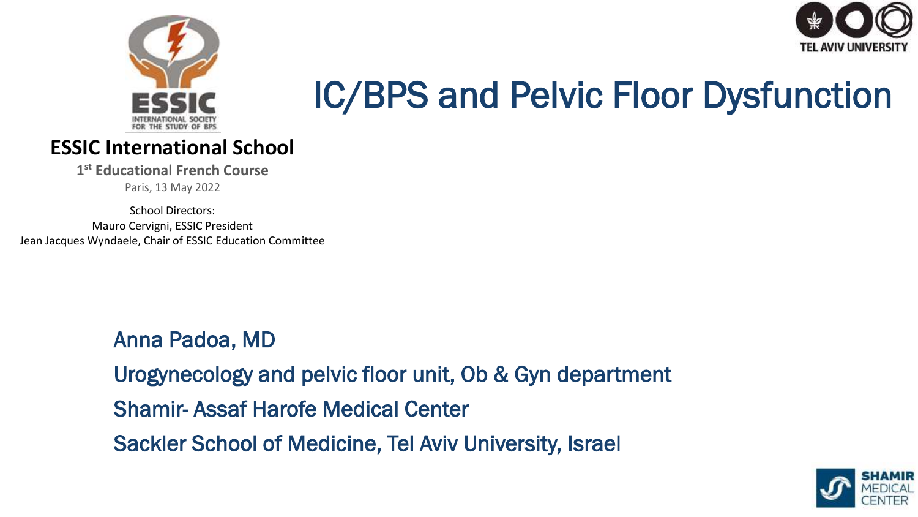



# IC/BPS and Pelvic Floor Dysfunction

#### **ESSIC International School**

**1 st Educational French Course**

Paris, 13 May 2022

School Directors: Mauro Cervigni, ESSIC President Jean Jacques Wyndaele, Chair of ESSIC Education Committee

> Anna Padoa, MD Urogynecology and pelvic floor unit, Ob & Gyn department Shamir- Assaf Harofe Medical Center Sackler School of Medicine, Tel Aviv University, Israel ldoa, MD

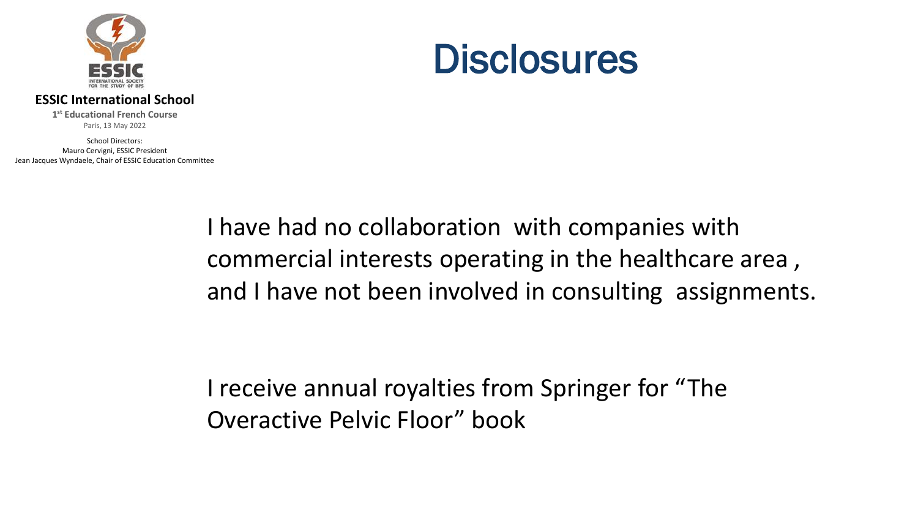

#### **ESSIC International School**

**1 st Educational French Course** Paris, 13 May 2022

School Directors: Mauro Cervigni, ESSIC President Jean Jacques Wyndaele, Chair of ESSIC Education Committee

#### **Disclosures**

I have had no collaboration with companies with commercial interests operating in the healthcare area , and I have not been involved in consulting assignments.

I receive annual royalties from Springer for "The Overactive Pelvic Floor" book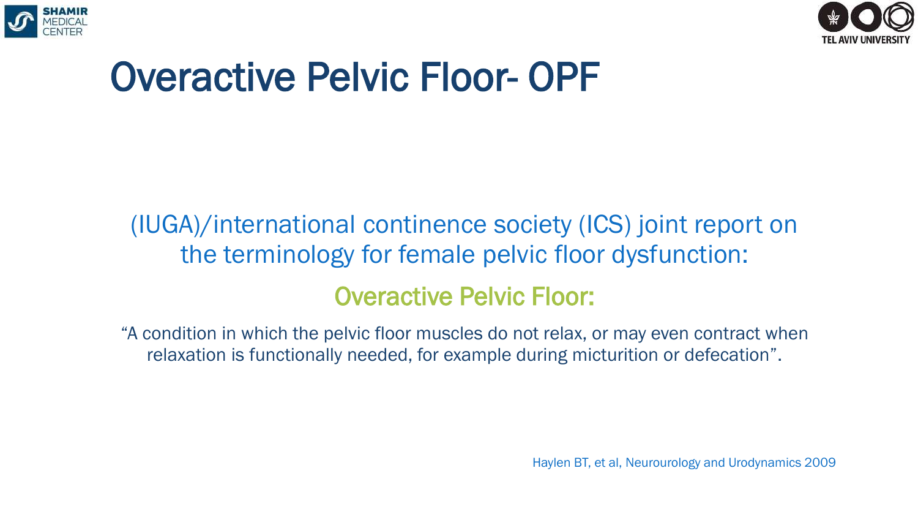



### Overactive Pelvic Floor- OPF

#### (IUGA)/international continence society (ICS) joint report on the terminology for female pelvic floor dysfunction: Overactive Pelvic Floor:

"A condition in which the pelvic floor muscles do not relax, or may even contract when relaxation is functionally needed, for example during micturition or defecation".

Haylen BT, et al, Neurourology and Urodynamics 2009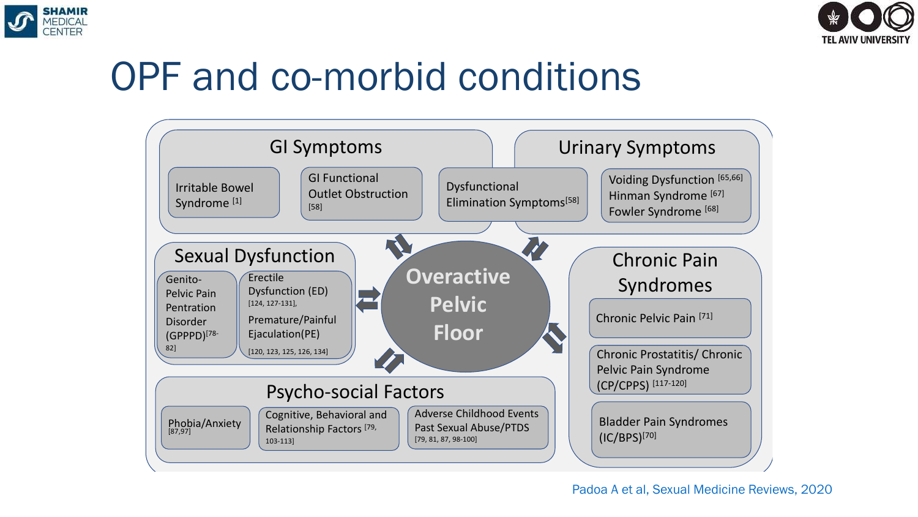



### OPF and co-morbid conditions

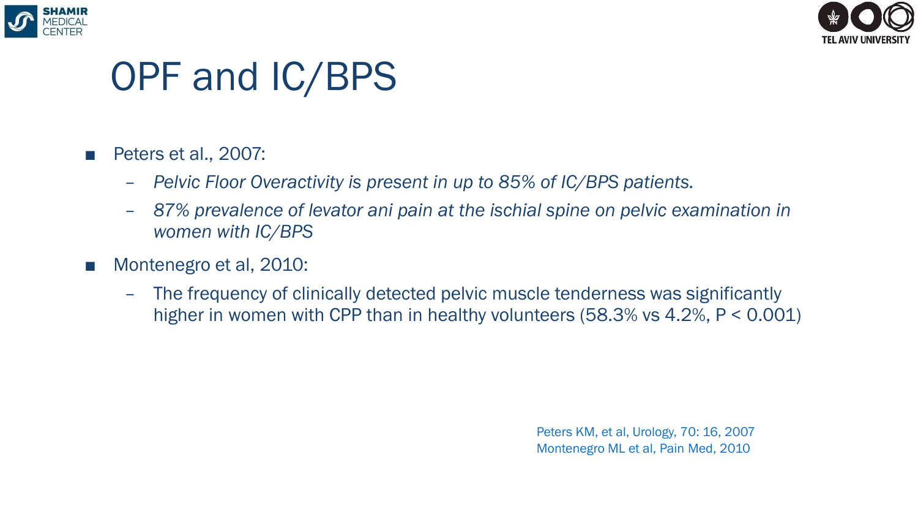



#### OPF and IC/BPS

#### ■ Peters et al., 2007:

- *Pelvic Floor Overactivity is present in up to 85% of IC/BPS patients.*
- *87% prevalence of levator ani pain at the ischial spine on pelvic examination in women with IC/BPS*
- Montenegro et al, 2010:
	- The frequency of clinically detected pelvic muscle tenderness was significantly higher in women with CPP than in healthy volunteers (58.3% vs 4.2%, P < 0.001)

Peters KM, et al, Urology, 70: 16, 2007 Montenegro ML et al, Pain Med, 2010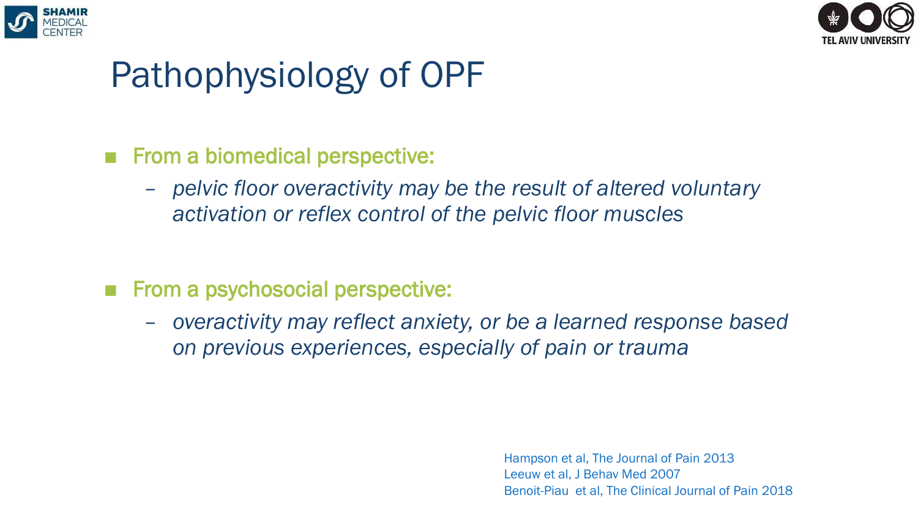



#### Pathophysiology of OPF

- From a biomedical perspective:
	- *pelvic floor overactivity may be the result of altered voluntary activation or reflex control of the pelvic floor muscles*
- From a psychosocial perspective:
	- *overactivity may reflect anxiety, or be a learned response based on previous experiences, especially of pain or trauma*

Hampson et al, The Journal of Pain 2013 Leeuw et al, J Behav Med 2007 Benoit-Piau et al, The Clinical Journal of Pain 2018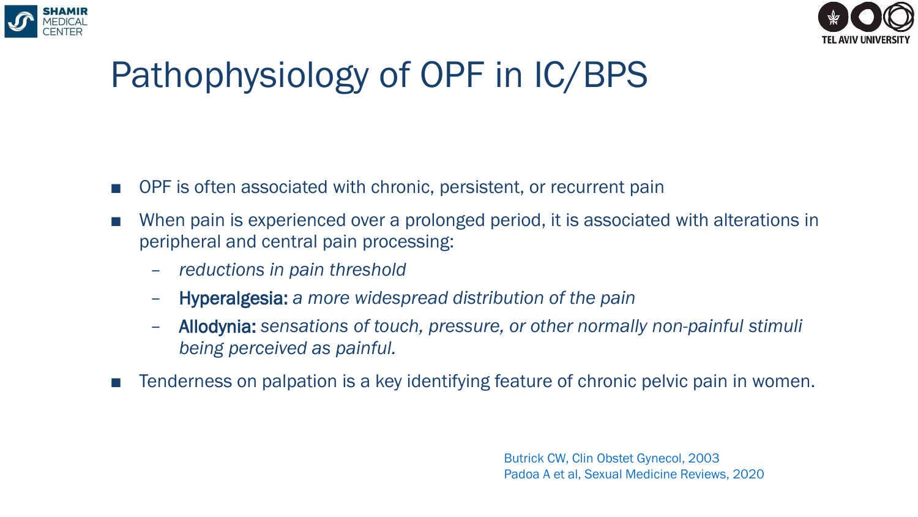



#### Pathophysiology of OPF in IC/BPS

- OPF is often associated with chronic, persistent, or recurrent pain
- When pain is experienced over a prolonged period, it is associated with alterations in peripheral and central pain processing:
	- *reductions in pain threshold*
	- Hyperalgesia: *a more widespread distribution of the pain*
	- Allodynia: *sensations of touch, pressure, or other normally non-painful stimuli being perceived as painful.*
- Tenderness on palpation is a key identifying feature of chronic pelvic pain in women.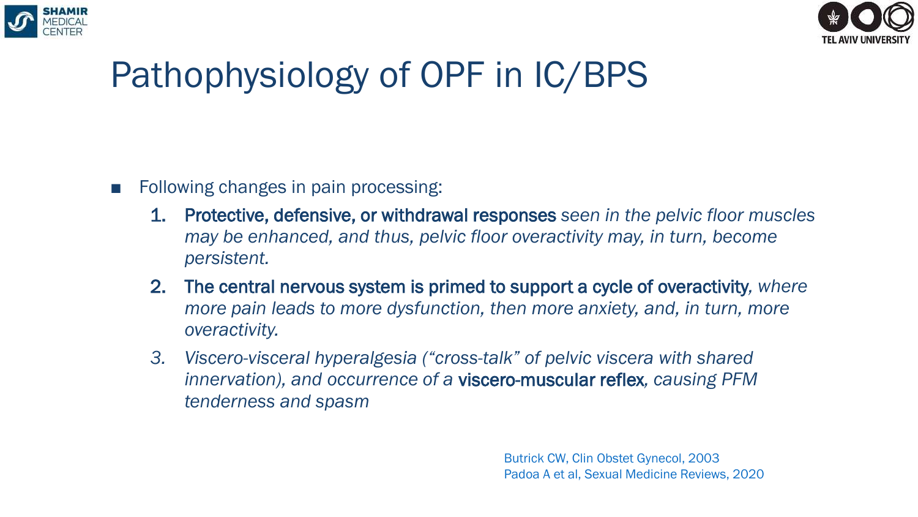



#### Pathophysiology of OPF in IC/BPS

- Following changes in pain processing:
	- 1. Protective, defensive, or withdrawal responses *seen in the pelvic floor muscles may be enhanced, and thus, pelvic floor overactivity may, in turn, become persistent.*
	- 2. The central nervous system is primed to support a cycle of overactivity*, where more pain leads to more dysfunction, then more anxiety, and, in turn, more overactivity.*
	- *3. Viscero-visceral hyperalgesia ("cross-talk" of pelvic viscera with shared innervation), and occurrence of a* viscero-muscular reflex*, causing PFM tenderness and spasm*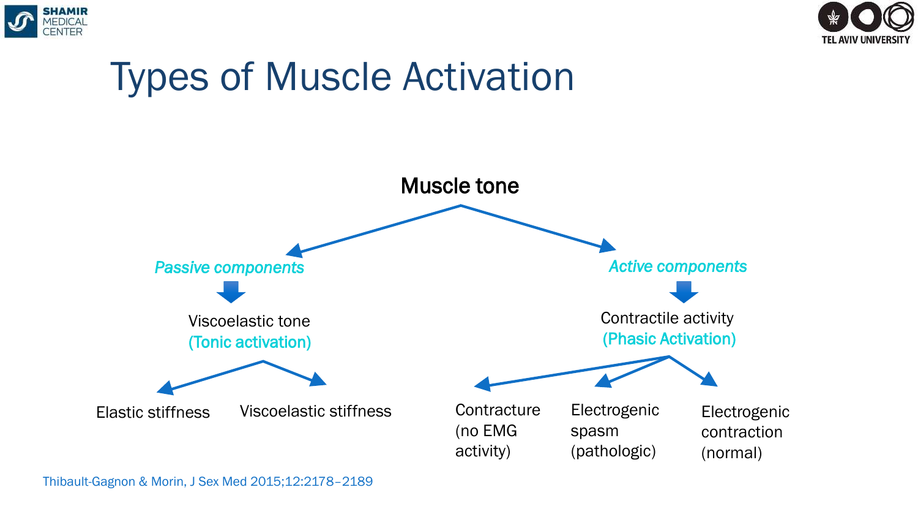







Thibault-Gagnon & Morin, J Sex Med 2015;12:2178–2189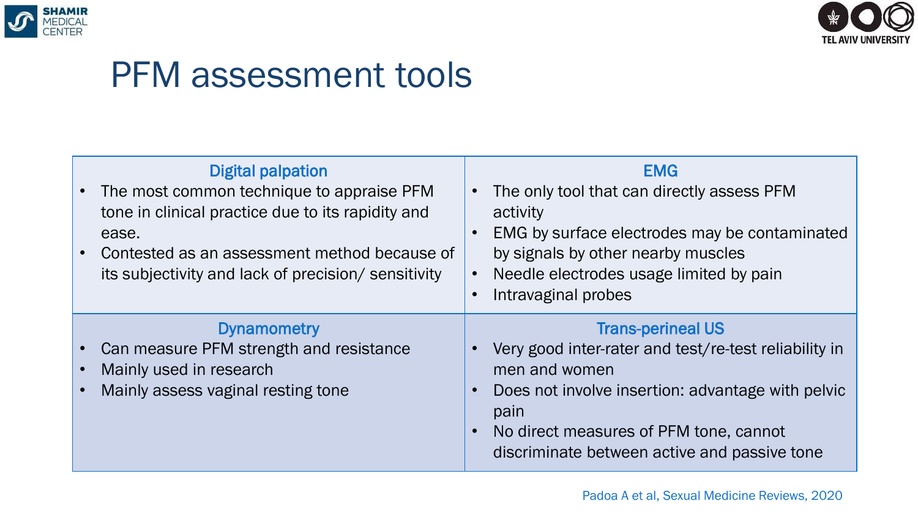



#### PFM assessment tools

|           | <b>Digital palpation</b><br>The most common technique to appraise PFM<br>tone in clinical practice due to its rapidity and<br>ease.<br>Contested as an assessment method because of<br>its subjectivity and lack of precision/ sensitivity | <b>EMG</b><br>The only tool that can directly assess PFM<br>$\bullet$<br>activity<br>EMG by surface electrodes may be contaminated<br>$\bullet$<br>by signals by other nearby muscles<br>Needle electrodes usage limited by pain<br>$\bullet$<br>Intravaginal probes<br>$\bullet$                |
|-----------|--------------------------------------------------------------------------------------------------------------------------------------------------------------------------------------------------------------------------------------------|--------------------------------------------------------------------------------------------------------------------------------------------------------------------------------------------------------------------------------------------------------------------------------------------------|
| $\bullet$ | <b>Dynamometry</b><br>Can measure PFM strength and resistance<br>Mainly used in research<br>Mainly assess vaginal resting tone                                                                                                             | <b>Trans-perineal US</b><br>Very good inter-rater and test/re-test reliability in<br>$\bullet$<br>men and women<br>Does not involve insertion: advantage with pelvic<br>$\bullet$<br>pain<br>No direct measures of PFM tone, cannot<br>$\bullet$<br>discriminate between active and passive tone |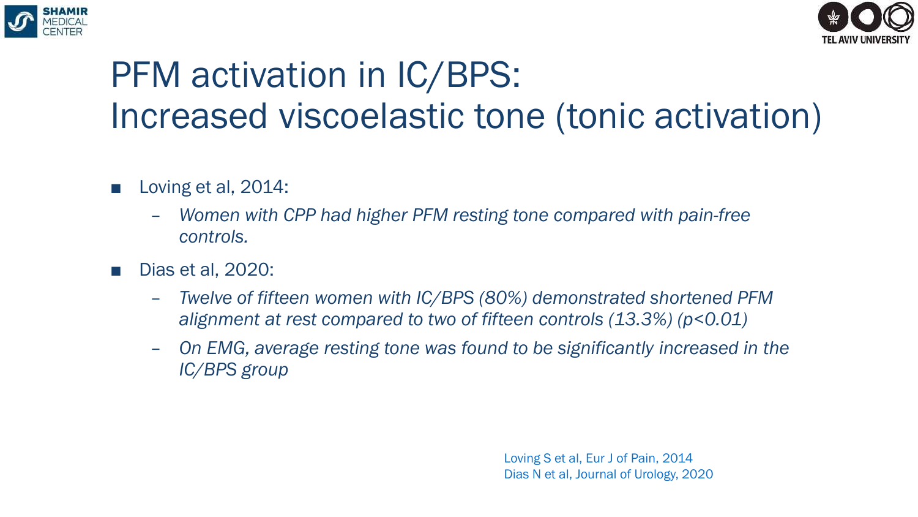



### PFM activation in IC/BPS: Increased viscoelastic tone (tonic activation)

- Loving et al, 2014:
	- *Women with CPP had higher PFM resting tone compared with pain-free controls.*
- Dias et al. 2020:
	- *Twelve of fifteen women with IC/BPS (80%) demonstrated shortened PFM alignment at rest compared to two of fifteen controls (13.3%) (p<0.01)*
	- *On EMG, average resting tone was found to be significantly increased in the IC/BPS group*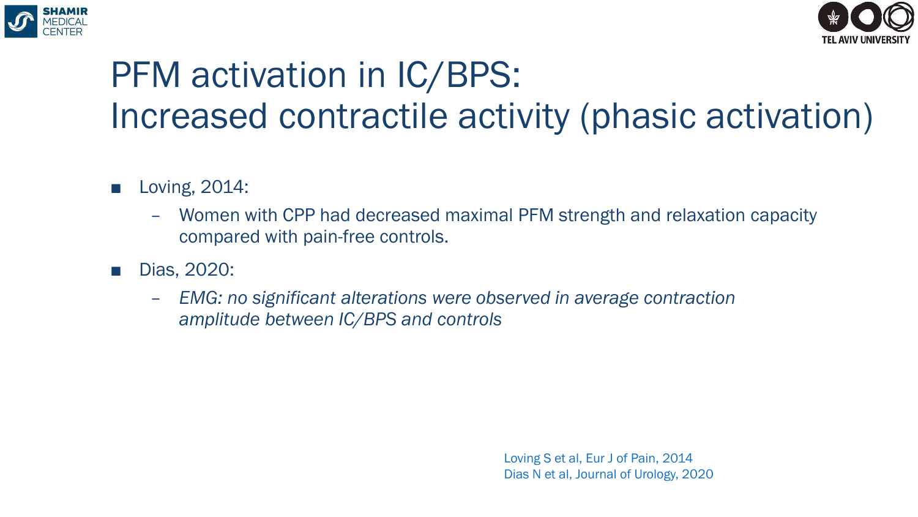



### PFM activation in IC/BPS: Increased contractile activity (phasic activation)

- Loving, 2014:
	- Women with CPP had decreased maximal PFM strength and relaxation capacity compared with pain-free controls.
- Dias, 2020:
	- *EMG: no significant alterations were observed in average contraction amplitude between IC/BPS and controls*

Loving S et al, Eur J of Pain, 2014 Dias N et al, Journal of Urology, 2020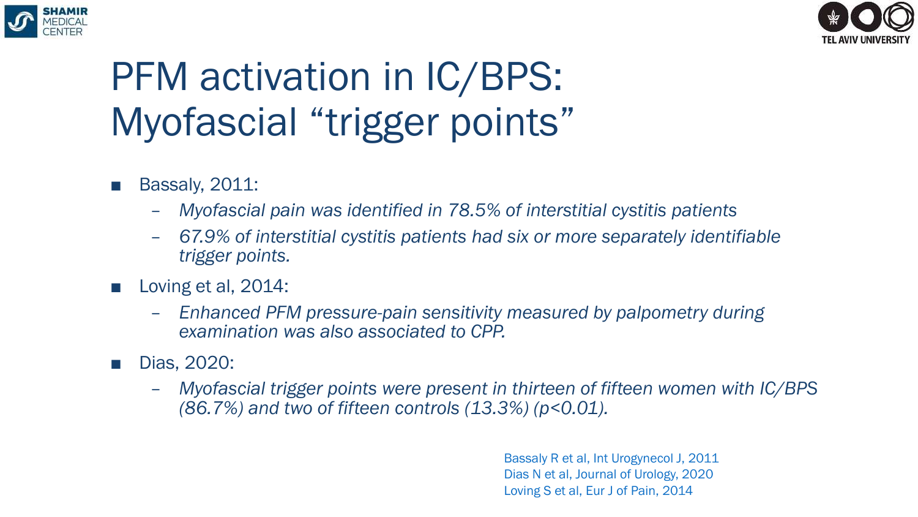



# PFM activation in  $IC/BPS$ : Myofascial "trigger points"

- **Bassaly, 2011:** 
	- *Myofascial pain was identified in 78.5% of interstitial cystitis patients*
	- *67.9% of interstitial cystitis patients had six or more separately identifiable trigger points.*
- Loving et al, 2014:
	- *Enhanced PFM pressure-pain sensitivity measured by palpometry during examination was also associated to CPP.*
- Dias, 2020:
	- *Myofascial trigger points were present in thirteen of fifteen women with IC/BPS (86.7%) and two of fifteen controls (13.3%) (p<0.01).*

Bassaly R et al, Int Urogynecol J, 2011 Dias N et al, Journal of Urology, 2020 Loving S et al, Eur J of Pain, 2014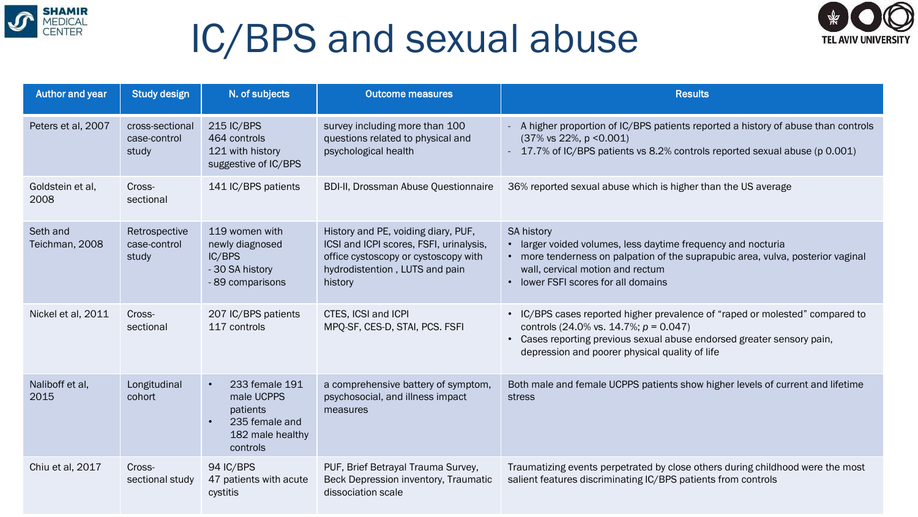

## IC/BPS and sexual abuse



| Author and year            | <b>Study design</b>                      | N. of subjects                                                                                                       | <b>Outcome measures</b>                                                                                                                                             | <b>Results</b>                                                                                                                                                                                                                                       |
|----------------------------|------------------------------------------|----------------------------------------------------------------------------------------------------------------------|---------------------------------------------------------------------------------------------------------------------------------------------------------------------|------------------------------------------------------------------------------------------------------------------------------------------------------------------------------------------------------------------------------------------------------|
| Peters et al, 2007         | cross-sectional<br>case-control<br>study | 215 IC/BPS<br>464 controls<br>121 with history<br>suggestive of IC/BPS                                               | survey including more than 100<br>questions related to physical and<br>psychological health                                                                         | - A higher proportion of IC/BPS patients reported a history of abuse than controls<br>$(37\% \text{ vs } 22\%, \text{ p } < 0.001)$<br>- 17.7% of IC/BPS patients vs 8.2% controls reported sexual abuse (p 0.001)                                   |
| Goldstein et al,<br>2008   | Cross-<br>sectional                      | 141 IC/BPS patients                                                                                                  | <b>BDI-II, Drossman Abuse Questionnaire</b>                                                                                                                         | 36% reported sexual abuse which is higher than the US average                                                                                                                                                                                        |
| Seth and<br>Teichman, 2008 | Retrospective<br>case-control<br>study   | 119 women with<br>newly diagnosed<br>IC/BPS<br>- 30 SA history<br>- 89 comparisons                                   | History and PE, voiding diary, PUF,<br>ICSI and ICPI scores, FSFI, urinalysis,<br>office cystoscopy or cystoscopy with<br>hydrodistention, LUTS and pain<br>history | <b>SA history</b><br>• larger voided volumes, less daytime frequency and nocturia<br>• more tenderness on palpation of the suprapubic area, vulva, posterior vaginal<br>wall, cervical motion and rectum<br>• lower FSFI scores for all domains      |
| Nickel et al, 2011         | Cross-<br>sectional                      | 207 IC/BPS patients<br>117 controls                                                                                  | CTES, ICSI and ICPI<br>MPQ-SF, CES-D, STAI, PCS. FSFI                                                                                                               | • IC/BPS cases reported higher prevalence of "raped or molested" compared to<br>controls (24.0% vs. 14.7%; $p = 0.047$ )<br>• Cases reporting previous sexual abuse endorsed greater sensory pain,<br>depression and poorer physical quality of life |
| Naliboff et al,<br>2015    | Longitudinal<br>cohort                   | 233 female 191<br>$\bullet$<br>male UCPPS<br>patients<br>235 female and<br>$\bullet$<br>182 male healthy<br>controls | a comprehensive battery of symptom,<br>psychosocial, and illness impact<br>measures                                                                                 | Both male and female UCPPS patients show higher levels of current and lifetime<br>stress                                                                                                                                                             |
| Chiu et al, 2017           | Cross-<br>sectional study                | 94 IC/BPS<br>47 patients with acute<br>cystitis                                                                      | PUF, Brief Betrayal Trauma Survey,<br>Beck Depression inventory, Traumatic<br>dissociation scale                                                                    | Traumatizing events perpetrated by close others during childhood were the most<br>salient features discriminating IC/BPS patients from controls                                                                                                      |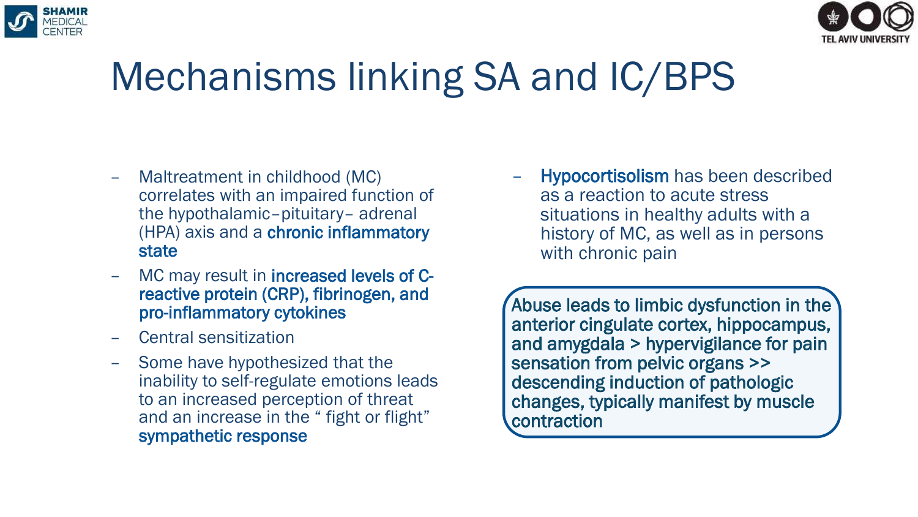

- Maltreatment in childhood (MC) correlates with an impaired function of the hypothalamic–pituitary– adrenal (HPA) axis and a chronic inflammatory state
- MC may result in **increased levels of C**reactive protein (CRP), fibrinogen, and pro-inflammatory cytokines
- Central sensitization
- Some have hypothesized that the inability to self-regulate emotions leads to an increased perception of threat and an increase in the " fight or flight" sympathetic response

– Hypocortisolism has been described as a reaction to acute stress situations in healthy adults with a history of MC, as well as in persons with chronic pain

Abuse leads to limbic dysfunction in the anterior cingulate cortex, hippocampus, and amygdala > hypervigilance for pain sensation from pelvic organs >> descending induction of pathologic changes, typically manifest by muscle contraction



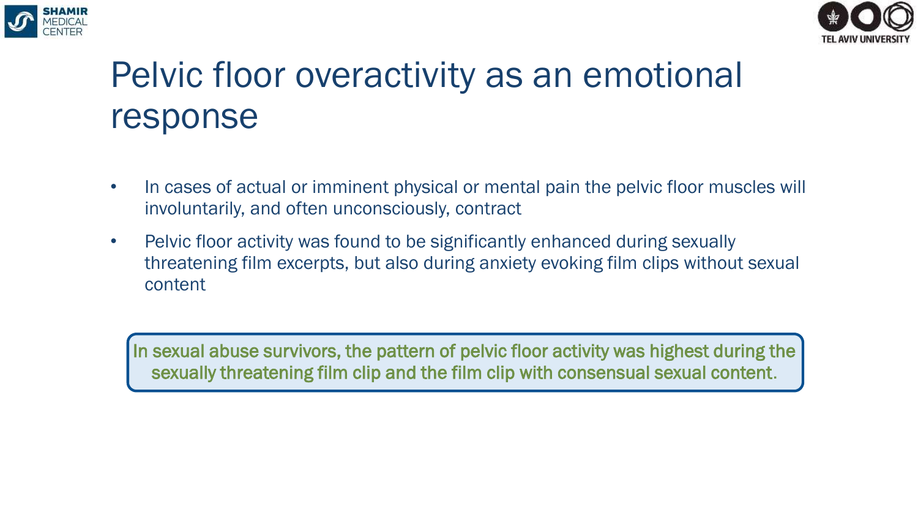



#### Pelvic floor overactivity as an emotional response

- In cases of actual or imminent physical or mental pain the pelvic floor muscles will involuntarily, and often unconsciously, contract
- Pelvic floor activity was found to be significantly enhanced during sexually threatening film excerpts, but also during anxiety evoking film clips without sexual content

In sexual abuse survivors, the pattern of pelvic floor activity was highest during the sexually threatening film clip and the film clip with consensual sexual content.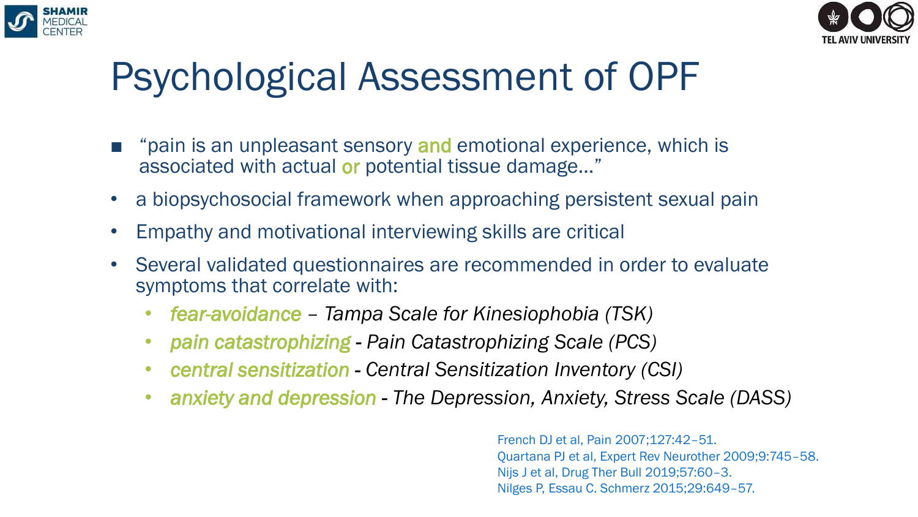



# Psychological Assessment of OPF

- "pain is an unpleasant sensory and emotional experience, which is associated with actual or potential tissue damage…"
- a biopsychosocial framework when approaching persistent sexual pain
- Empathy and motivational interviewing skills are critical
- Several validated questionnaires are recommended in order to evaluate symptoms that correlate with:
	- *fear-avoidance – Tampa Scale for Kinesiophobia (TSK)*
	- *pain catastrophizing - Pain Catastrophizing Scale (PCS)*
	- *central sensitization - Central Sensitization Inventory (CSI)*
	- *anxiety and depression - The Depression, Anxiety, Stress Scale (DASS)*

French DJ et al, Pain 2007;127:42–51. Quartana PJ et al, Expert Rev Neurother 2009;9:745–58. Nijs J et al, Drug Ther Bull 2019;57:60–3. Nilges P, Essau C. Schmerz 2015;29:649–57.